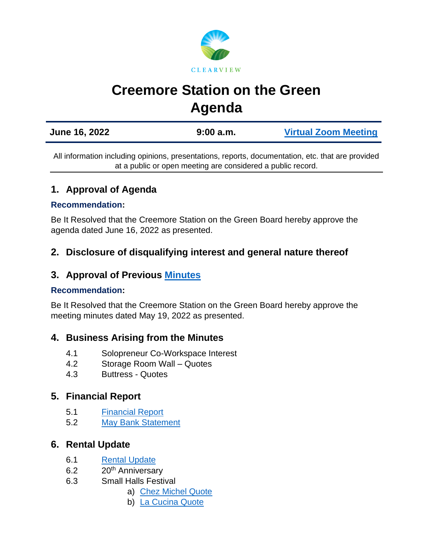

# **Creemore Station on the Green Agenda**

| June 16, 2022 | 9:00a.m. | <b>Virtual Zoom Meeting</b> |
|---------------|----------|-----------------------------|
|               |          |                             |

All information including opinions, presentations, reports, documentation, etc. that are provided at a public or open meeting are considered a public record.

# **1. Approval of Agenda**

#### **Recommendation:**

Be It Resolved that the Creemore Station on the Green Board hereby approve the agenda dated June 16, 2022 as presented.

# **2. Disclosure of disqualifying interest and general nature thereof**

## **3. Approval of Previous [Minutes](https://www.clearview.ca/sites/default/files/uploads/publications/2022-05-19_creemore_station_on_the_green_board_meeting_minutes.pdf)**

#### **Recommendation:**

Be It Resolved that the Creemore Station on the Green Board hereby approve the meeting minutes dated May 19, 2022 as presented.

## **4. Business Arising from the Minutes**

- 4.1 Solopreneur Co-Workspace Interest
- 4.2 Storage Room Wall Quotes
- 4.3 Buttress Quotes

## **5. Financial Report**

- 5.1 [Financial Report](https://www.clearview.ca/sites/default/files/uploads/publications/2022-06-16_financial_report_-_sotg.pdf)
- 5.2 [May Bank Statement](https://www.clearview.ca/sites/default/files/uploads/publications/2022-05_station_on_the_green_statement.pdf)

## **6. Rental Update**

- 6.1 [Rental Update](https://www.clearview.ca/sites/default/files/uploads/publications/may_2022_rentals.pdf)
- 6.2 20<sup>th</sup> Anniversary
- 6.3 Small Halls Festival
	- a) [Chez Michel Quote](https://www.clearview.ca/sites/default/files/uploads/publications/chez_michel_quote.pdf)
	- b) [La Cucina Quote](https://www.clearview.ca/sites/default/files/uploads/publications/la_cucina_quote.pdf)